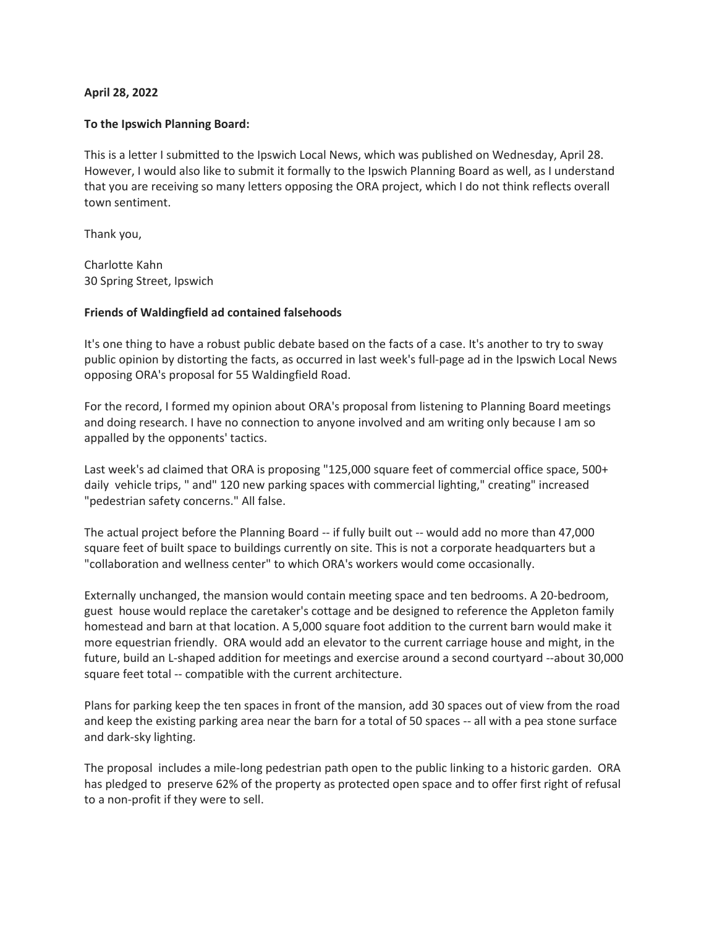## **April 28, 2022**

## **To the Ipswich Planning Board:**

This is a letter I submitted to the Ipswich Local News, which was published on Wednesday, April 28. However, I would also like to submit it formally to the Ipswich Planning Board as well, as I understand that you are receiving so many letters opposing the ORA project, which I do not think reflects overall town sentiment.

Thank you,

Charlotte Kahn 30 Spring Street, Ipswich

## **Friends of Waldingfield ad contained falsehoods**

It's one thing to have a robust public debate based on the facts of a case. It's another to try to sway public opinion by distorting the facts, as occurred in last week's full-page ad in the Ipswich Local News opposing ORA's proposal for 55 Waldingfield Road.

For the record, I formed my opinion about ORA's proposal from listening to Planning Board meetings and doing research. I have no connection to anyone involved and am writing only because I am so appalled by the opponents' tactics.

Last week's ad claimed that ORA is proposing "125,000 square feet of commercial office space, 500+ daily vehicle trips, " and" 120 new parking spaces with commercial lighting," creating" increased "pedestrian safety concerns." All false.

The actual project before the Planning Board -- if fully built out -- would add no more than 47,000 square feet of built space to buildings currently on site. This is not a corporate headquarters but a "collaboration and wellness center" to which ORA's workers would come occasionally.

Externally unchanged, the mansion would contain meeting space and ten bedrooms. A 20-bedroom, guest house would replace the caretaker's cottage and be designed to reference the Appleton family homestead and barn at that location. A 5,000 square foot addition to the current barn would make it more equestrian friendly. ORA would add an elevator to the current carriage house and might, in the future, build an L-shaped addition for meetings and exercise around a second courtyard --about 30,000 square feet total -- compatible with the current architecture.

Plans for parking keep the ten spaces in front of the mansion, add 30 spaces out of view from the road and keep the existing parking area near the barn for a total of 50 spaces -- all with a pea stone surface and dark-sky lighting.

The proposal includes a mile-long pedestrian path open to the public linking to a historic garden. ORA has pledged to preserve 62% of the property as protected open space and to offer first right of refusal to a non-profit if they were to sell.